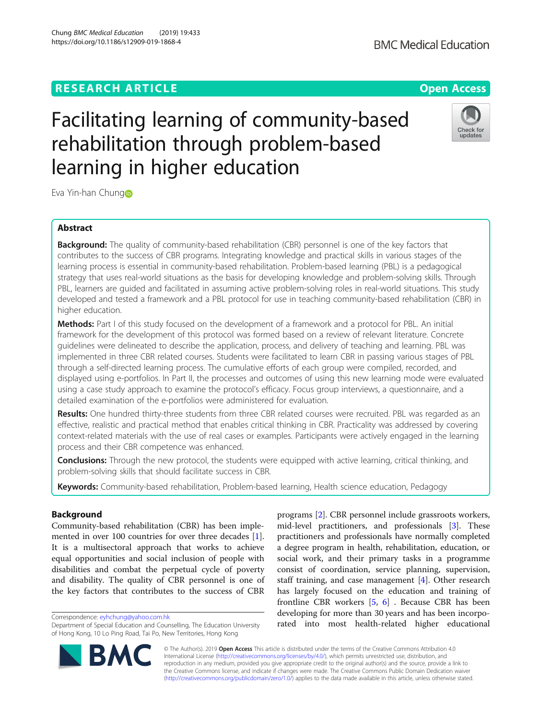## **RESEARCH ARTICLE Example 2014 12:30 The Contract of Contract ACCESS**

# Facilitating learning of community-based rehabilitation through problem-based learning in higher education

Eva Yin-han Chung

## Abstract

**Background:** The quality of community-based rehabilitation (CBR) personnel is one of the key factors that contributes to the success of CBR programs. Integrating knowledge and practical skills in various stages of the learning process is essential in community-based rehabilitation. Problem-based learning (PBL) is a pedagogical strategy that uses real-world situations as the basis for developing knowledge and problem-solving skills. Through PBL, learners are guided and facilitated in assuming active problem-solving roles in real-world situations. This study developed and tested a framework and a PBL protocol for use in teaching community-based rehabilitation (CBR) in higher education.

Methods: Part I of this study focused on the development of a framework and a protocol for PBL. An initial framework for the development of this protocol was formed based on a review of relevant literature. Concrete guidelines were delineated to describe the application, process, and delivery of teaching and learning. PBL was implemented in three CBR related courses. Students were facilitated to learn CBR in passing various stages of PBL through a self-directed learning process. The cumulative efforts of each group were compiled, recorded, and displayed using e-portfolios. In Part II, the processes and outcomes of using this new learning mode were evaluated using a case study approach to examine the protocol's efficacy. Focus group interviews, a questionnaire, and a detailed examination of the e-portfolios were administered for evaluation.

Results: One hundred thirty-three students from three CBR related courses were recruited. PBL was regarded as an effective, realistic and practical method that enables critical thinking in CBR. Practicality was addressed by covering context-related materials with the use of real cases or examples. Participants were actively engaged in the learning process and their CBR competence was enhanced.

**Conclusions:** Through the new protocol, the students were equipped with active learning, critical thinking, and problem-solving skills that should facilitate success in CBR.

Keywords: Community-based rehabilitation, Problem-based learning, Health science education, Pedagogy

## Background

Community-based rehabilitation (CBR) has been implemented in over 100 countries for over three decades [\[1](#page-12-0)]. It is a multisectoral approach that works to achieve equal opportunities and social inclusion of people with disabilities and combat the perpetual cycle of poverty and disability. The quality of CBR personnel is one of the key factors that contributes to the success of CBR

Correspondence: [eyhchung@yahoo.com.hk](mailto:eyhchung@yahoo.com.hk)

© The Author(s). 2019 Open Access This article is distributed under the terms of the Creative Commons Attribution 4.0 International License [\(http://creativecommons.org/licenses/by/4.0/](http://creativecommons.org/licenses/by/4.0/)), which permits unrestricted use, distribution, and reproduction in any medium, provided you give appropriate credit to the original author(s) and the source, provide a link to the Creative Commons license, and indicate if changes were made. The Creative Commons Public Domain Dedication waiver [\(http://creativecommons.org/publicdomain/zero/1.0/](http://creativecommons.org/publicdomain/zero/1.0/)) applies to the data made available in this article, unless otherwise stated.

programs [[2\]](#page-12-0). CBR personnel include grassroots workers, mid-level practitioners, and professionals [[3](#page-12-0)]. These practitioners and professionals have normally completed a degree program in health, rehabilitation, education, or social work, and their primary tasks in a programme consist of coordination, service planning, supervision, staff training, and case management [[4](#page-12-0)]. Other research has largely focused on the education and training of frontline CBR workers  $[5, 6]$  $[5, 6]$  $[5, 6]$  $[5, 6]$ . Because CBR has been developing for more than 30 years and has been incorporated into most health-related higher educational







Department of Special Education and Counselling, The Education University of Hong Kong, 10 Lo Ping Road, Tai Po, New Territories, Hong Kong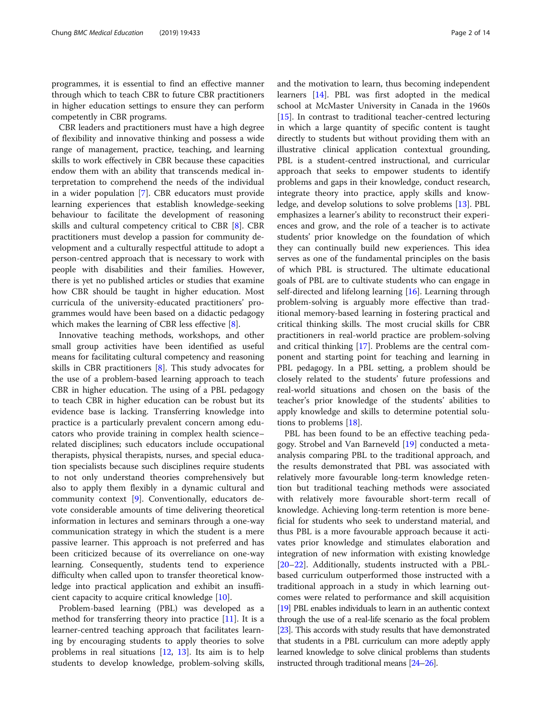programmes, it is essential to find an effective manner through which to teach CBR to future CBR practitioners in higher education settings to ensure they can perform competently in CBR programs.

CBR leaders and practitioners must have a high degree of flexibility and innovative thinking and possess a wide range of management, practice, teaching, and learning skills to work effectively in CBR because these capacities endow them with an ability that transcends medical interpretation to comprehend the needs of the individual in a wider population [\[7](#page-12-0)]. CBR educators must provide learning experiences that establish knowledge-seeking behaviour to facilitate the development of reasoning skills and cultural competency critical to CBR [[8\]](#page-12-0). CBR practitioners must develop a passion for community development and a culturally respectful attitude to adopt a person-centred approach that is necessary to work with people with disabilities and their families. However, there is yet no published articles or studies that examine how CBR should be taught in higher education. Most curricula of the university-educated practitioners' programmes would have been based on a didactic pedagogy which makes the learning of CBR less effective [\[8\]](#page-12-0).

Innovative teaching methods, workshops, and other small group activities have been identified as useful means for facilitating cultural competency and reasoning skills in CBR practitioners [[8\]](#page-12-0). This study advocates for the use of a problem-based learning approach to teach CBR in higher education. The using of a PBL pedagogy to teach CBR in higher education can be robust but its evidence base is lacking. Transferring knowledge into practice is a particularly prevalent concern among educators who provide training in complex health science– related disciplines; such educators include occupational therapists, physical therapists, nurses, and special education specialists because such disciplines require students to not only understand theories comprehensively but also to apply them flexibly in a dynamic cultural and community context [[9\]](#page-12-0). Conventionally, educators devote considerable amounts of time delivering theoretical information in lectures and seminars through a one-way communication strategy in which the student is a mere passive learner. This approach is not preferred and has been criticized because of its overreliance on one-way learning. Consequently, students tend to experience difficulty when called upon to transfer theoretical knowledge into practical application and exhibit an insufficient capacity to acquire critical knowledge [[10\]](#page-12-0).

Problem-based learning (PBL) was developed as a method for transferring theory into practice [\[11](#page-12-0)]. It is a learner-centred teaching approach that facilitates learning by encouraging students to apply theories to solve problems in real situations [[12](#page-12-0), [13\]](#page-12-0). Its aim is to help students to develop knowledge, problem-solving skills, and the motivation to learn, thus becoming independent learners [\[14](#page-13-0)]. PBL was first adopted in the medical school at McMaster University in Canada in the 1960s [[15\]](#page-13-0). In contrast to traditional teacher-centred lecturing in which a large quantity of specific content is taught directly to students but without providing them with an illustrative clinical application contextual grounding, PBL is a student-centred instructional, and curricular approach that seeks to empower students to identify problems and gaps in their knowledge, conduct research, integrate theory into practice, apply skills and knowledge, and develop solutions to solve problems [\[13](#page-12-0)]. PBL emphasizes a learner's ability to reconstruct their experiences and grow, and the role of a teacher is to activate students' prior knowledge on the foundation of which they can continually build new experiences. This idea serves as one of the fundamental principles on the basis of which PBL is structured. The ultimate educational goals of PBL are to cultivate students who can engage in self-directed and lifelong learning [[16](#page-13-0)]. Learning through problem-solving is arguably more effective than traditional memory-based learning in fostering practical and critical thinking skills. The most crucial skills for CBR practitioners in real-world practice are problem-solving and critical thinking [\[17](#page-13-0)]. Problems are the central component and starting point for teaching and learning in PBL pedagogy. In a PBL setting, a problem should be closely related to the students' future professions and real-world situations and chosen on the basis of the teacher's prior knowledge of the students' abilities to apply knowledge and skills to determine potential solutions to problems [\[18\]](#page-13-0).

PBL has been found to be an effective teaching pedagogy. Strobel and Van Barneveld [\[19](#page-13-0)] conducted a metaanalysis comparing PBL to the traditional approach, and the results demonstrated that PBL was associated with relatively more favourable long-term knowledge retention but traditional teaching methods were associated with relatively more favourable short-term recall of knowledge. Achieving long-term retention is more beneficial for students who seek to understand material, and thus PBL is a more favourable approach because it activates prior knowledge and stimulates elaboration and integration of new information with existing knowledge [[20](#page-13-0)–[22](#page-13-0)]. Additionally, students instructed with a PBLbased curriculum outperformed those instructed with a traditional approach in a study in which learning outcomes were related to performance and skill acquisition [[19\]](#page-13-0) PBL enables individuals to learn in an authentic context through the use of a real-life scenario as the focal problem [[23\]](#page-13-0). This accords with study results that have demonstrated that students in a PBL curriculum can more adeptly apply learned knowledge to solve clinical problems than students instructed through traditional means [\[24](#page-13-0)–[26](#page-13-0)].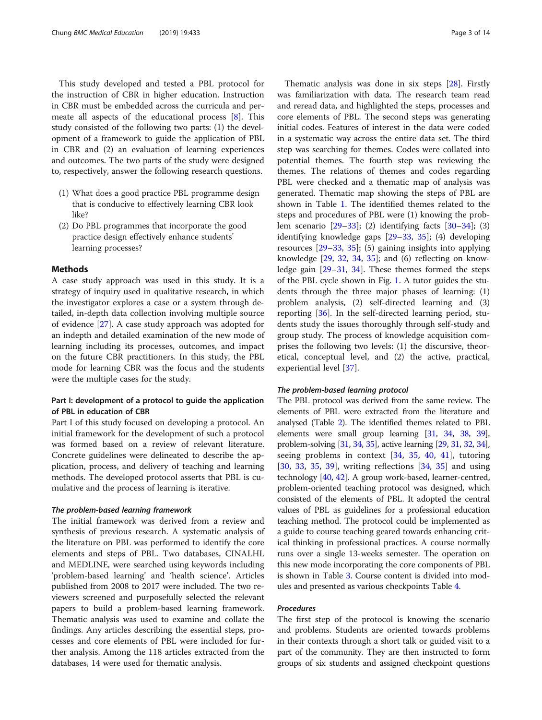This study developed and tested a PBL protocol for the instruction of CBR in higher education. Instruction in CBR must be embedded across the curricula and permeate all aspects of the educational process [[8\]](#page-12-0). This study consisted of the following two parts: (1) the development of a framework to guide the application of PBL in CBR and (2) an evaluation of learning experiences and outcomes. The two parts of the study were designed to, respectively, answer the following research questions.

- (1) What does a good practice PBL programme design that is conducive to effectively learning CBR look like?
- (2) Do PBL programmes that incorporate the good practice design effectively enhance students' learning processes?

## Methods

A case study approach was used in this study. It is a strategy of inquiry used in qualitative research, in which the investigator explores a case or a system through detailed, in-depth data collection involving multiple source of evidence [[27](#page-13-0)]. A case study approach was adopted for an indepth and detailed examination of the new mode of learning including its processes, outcomes, and impact on the future CBR practitioners. In this study, the PBL mode for learning CBR was the focus and the students were the multiple cases for the study.

## Part I: development of a protocol to guide the application of PBL in education of CBR

Part I of this study focused on developing a protocol. An initial framework for the development of such a protocol was formed based on a review of relevant literature. Concrete guidelines were delineated to describe the application, process, and delivery of teaching and learning methods. The developed protocol asserts that PBL is cumulative and the process of learning is iterative.

## The problem-based learning framework

The initial framework was derived from a review and synthesis of previous research. A systematic analysis of the literature on PBL was performed to identify the core elements and steps of PBL. Two databases, CINALHL and MEDLINE, were searched using keywords including 'problem-based learning' and 'health science'. Articles published from 2008 to 2017 were included. The two reviewers screened and purposefully selected the relevant papers to build a problem-based learning framework. Thematic analysis was used to examine and collate the findings. Any articles describing the essential steps, processes and core elements of PBL were included for further analysis. Among the 118 articles extracted from the databases, 14 were used for thematic analysis.

Thematic analysis was done in six steps [[28](#page-13-0)]. Firstly was familiarization with data. The research team read and reread data, and highlighted the steps, processes and core elements of PBL. The second steps was generating initial codes. Features of interest in the data were coded in a systematic way across the entire data set. The third step was searching for themes. Codes were collated into potential themes. The fourth step was reviewing the themes. The relations of themes and codes regarding PBL were checked and a thematic map of analysis was generated. Thematic map showing the steps of PBL are shown in Table [1](#page-3-0). The identified themes related to the steps and procedures of PBL were (1) knowing the problem scenario [\[29](#page-13-0)–[33\]](#page-13-0); (2) identifying facts [[30](#page-13-0)–[34](#page-13-0)]; (3) identifying knowledge gaps [[29](#page-13-0)–[33](#page-13-0), [35\]](#page-13-0); (4) developing resources [\[29](#page-13-0)–[33,](#page-13-0) [35](#page-13-0)]; (5) gaining insights into applying knowledge [\[29](#page-13-0), [32](#page-13-0), [34,](#page-13-0) [35\]](#page-13-0); and (6) reflecting on knowledge gain [[29](#page-13-0)–[31](#page-13-0), [34](#page-13-0)]. These themes formed the steps of the PBL cycle shown in Fig. [1.](#page-4-0) A tutor guides the students through the three major phases of learning: (1) problem analysis, (2) self-directed learning and (3) reporting [[36\]](#page-13-0). In the self-directed learning period, students study the issues thoroughly through self-study and group study. The process of knowledge acquisition comprises the following two levels: (1) the discursive, theoretical, conceptual level, and (2) the active, practical, experiential level [[37\]](#page-13-0).

## The problem-based learning protocol

The PBL protocol was derived from the same review. The elements of PBL were extracted from the literature and analysed (Table [2](#page-5-0)). The identified themes related to PBL elements were small group learning [[31](#page-13-0), [34](#page-13-0), [38](#page-13-0), [39](#page-13-0)], problem-solving [\[31](#page-13-0), [34,](#page-13-0) [35\]](#page-13-0), active learning [[29](#page-13-0), [31](#page-13-0), [32](#page-13-0), [34](#page-13-0)], seeing problems in context [\[34](#page-13-0), [35,](#page-13-0) [40,](#page-13-0) [41](#page-13-0)], tutoring [[30,](#page-13-0) [33,](#page-13-0) [35](#page-13-0), [39\]](#page-13-0), writing reflections [[34,](#page-13-0) [35](#page-13-0)] and using technology [[40](#page-13-0), [42\]](#page-13-0). A group work-based, learner-centred, problem-oriented teaching protocol was designed, which consisted of the elements of PBL. It adopted the central values of PBL as guidelines for a professional education teaching method. The protocol could be implemented as a guide to course teaching geared towards enhancing critical thinking in professional practices. A course normally runs over a single 13-weeks semester. The operation on this new mode incorporating the core components of PBL is shown in Table [3](#page-6-0). Course content is divided into modules and presented as various checkpoints Table [4](#page-7-0).

## Procedures

The first step of the protocol is knowing the scenario and problems. Students are oriented towards problems in their contexts through a short talk or guided visit to a part of the community. They are then instructed to form groups of six students and assigned checkpoint questions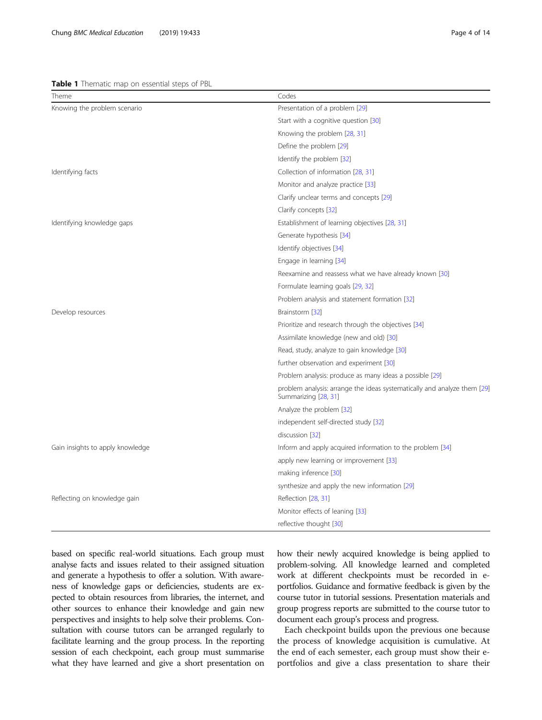#### <span id="page-3-0"></span>Table 1 Thematic map on essential steps of PBL

| Theme                            | Codes                                                                                            |
|----------------------------------|--------------------------------------------------------------------------------------------------|
| Knowing the problem scenario     | Presentation of a problem [29]                                                                   |
|                                  | Start with a cognitive question [30]                                                             |
|                                  | Knowing the problem [28, 31]                                                                     |
|                                  | Define the problem [29]                                                                          |
|                                  | Identify the problem [32]                                                                        |
| Identifying facts                | Collection of information [28, 31]                                                               |
|                                  | Monitor and analyze practice [33]                                                                |
|                                  | Clarify unclear terms and concepts [29]                                                          |
|                                  | Clarify concepts [32]                                                                            |
| Identifying knowledge gaps       | Establishment of learning objectives [28, 31]                                                    |
|                                  | Generate hypothesis [34]                                                                         |
|                                  | Identify objectives [34]                                                                         |
|                                  | Engage in learning [34]                                                                          |
|                                  | Reexamine and reassess what we have already known [30]                                           |
|                                  | Formulate learning goals [29, 32]                                                                |
|                                  | Problem analysis and statement formation [32]                                                    |
| Develop resources                | Brainstorm [32]                                                                                  |
|                                  | Prioritize and research through the objectives [34]                                              |
|                                  | Assimilate knowledge (new and old) [30]                                                          |
|                                  | Read, study, analyze to gain knowledge [30]                                                      |
|                                  | further observation and experiment [30]                                                          |
|                                  | Problem analysis: produce as many ideas a possible [29]                                          |
|                                  | problem analysis: arrange the ideas systematically and analyze them [29]<br>Summarizing [28, 31] |
|                                  | Analyze the problem [32]                                                                         |
|                                  | independent self-directed study [32]                                                             |
|                                  | discussion [32]                                                                                  |
| Gain insights to apply knowledge | Inform and apply acquired information to the problem [34]                                        |
|                                  | apply new learning or improvement [33]                                                           |
|                                  | making inference [30]                                                                            |
|                                  | synthesize and apply the new information [29]                                                    |
| Reflecting on knowledge gain     | Reflection [28, 31]                                                                              |
|                                  | Monitor effects of leaning [33]                                                                  |
|                                  | reflective thought [30]                                                                          |

based on specific real-world situations. Each group must analyse facts and issues related to their assigned situation and generate a hypothesis to offer a solution. With awareness of knowledge gaps or deficiencies, students are expected to obtain resources from libraries, the internet, and other sources to enhance their knowledge and gain new perspectives and insights to help solve their problems. Consultation with course tutors can be arranged regularly to facilitate learning and the group process. In the reporting session of each checkpoint, each group must summarise what they have learned and give a short presentation on how their newly acquired knowledge is being applied to problem-solving. All knowledge learned and completed work at different checkpoints must be recorded in eportfolios. Guidance and formative feedback is given by the course tutor in tutorial sessions. Presentation materials and group progress reports are submitted to the course tutor to document each group's process and progress.

Each checkpoint builds upon the previous one because the process of knowledge acquisition is cumulative. At the end of each semester, each group must show their eportfolios and give a class presentation to share their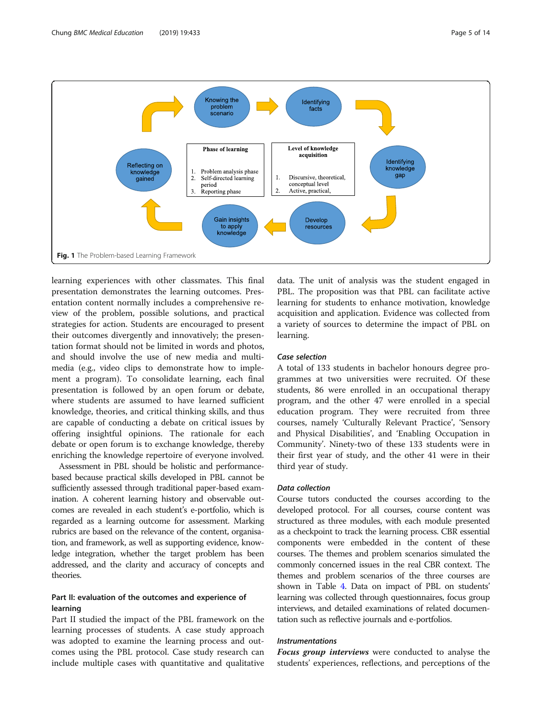<span id="page-4-0"></span>

learning experiences with other classmates. This final presentation demonstrates the learning outcomes. Presentation content normally includes a comprehensive review of the problem, possible solutions, and practical strategies for action. Students are encouraged to present their outcomes divergently and innovatively; the presentation format should not be limited in words and photos, and should involve the use of new media and multimedia (e.g., video clips to demonstrate how to implement a program). To consolidate learning, each final presentation is followed by an open forum or debate, where students are assumed to have learned sufficient knowledge, theories, and critical thinking skills, and thus are capable of conducting a debate on critical issues by offering insightful opinions. The rationale for each debate or open forum is to exchange knowledge, thereby enriching the knowledge repertoire of everyone involved.

Assessment in PBL should be holistic and performancebased because practical skills developed in PBL cannot be sufficiently assessed through traditional paper-based examination. A coherent learning history and observable outcomes are revealed in each student's e-portfolio, which is regarded as a learning outcome for assessment. Marking rubrics are based on the relevance of the content, organisation, and framework, as well as supporting evidence, knowledge integration, whether the target problem has been addressed, and the clarity and accuracy of concepts and theories.

## Part II: evaluation of the outcomes and experience of learning

Part II studied the impact of the PBL framework on the learning processes of students. A case study approach was adopted to examine the learning process and outcomes using the PBL protocol. Case study research can include multiple cases with quantitative and qualitative

data. The unit of analysis was the student engaged in PBL. The proposition was that PBL can facilitate active learning for students to enhance motivation, knowledge acquisition and application. Evidence was collected from a variety of sources to determine the impact of PBL on learning.

## Case selection

A total of 133 students in bachelor honours degree programmes at two universities were recruited. Of these students, 86 were enrolled in an occupational therapy program, and the other 47 were enrolled in a special education program. They were recruited from three courses, namely 'Culturally Relevant Practice', 'Sensory and Physical Disabilities', and 'Enabling Occupation in Community'. Ninety-two of these 133 students were in their first year of study, and the other 41 were in their third year of study.

## Data collection

Course tutors conducted the courses according to the developed protocol. For all courses, course content was structured as three modules, with each module presented as a checkpoint to track the learning process. CBR essential components were embedded in the content of these courses. The themes and problem scenarios simulated the commonly concerned issues in the real CBR context. The themes and problem scenarios of the three courses are shown in Table [4](#page-7-0). Data on impact of PBL on students' learning was collected through questionnaires, focus group interviews, and detailed examinations of related documentation such as reflective journals and e-portfolios.

## Instrumentations

**Focus group interviews** were conducted to analyse the students' experiences, reflections, and perceptions of the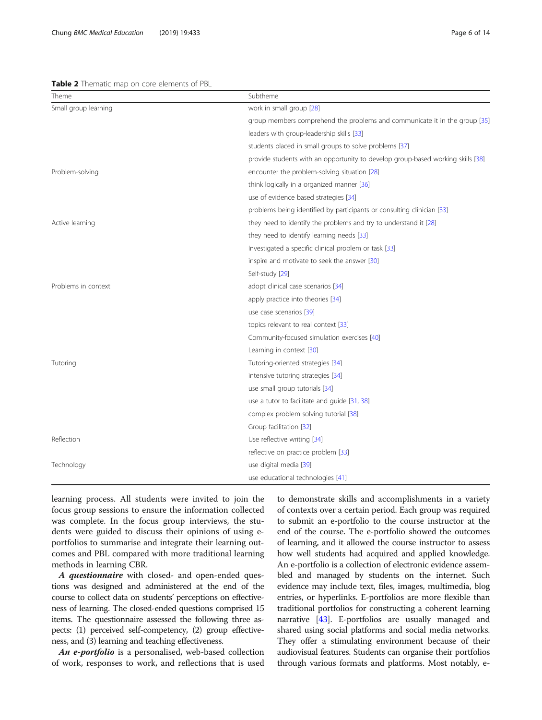#### <span id="page-5-0"></span>Table 2 Thematic map on core elements of PBL

| Theme                | Subtheme                                                                        |  |  |  |  |
|----------------------|---------------------------------------------------------------------------------|--|--|--|--|
| Small group learning | work in small group [28]                                                        |  |  |  |  |
|                      | group members comprehend the problems and communicate it in the group [35]      |  |  |  |  |
|                      | leaders with group-leadership skills [33]                                       |  |  |  |  |
|                      | students placed in small groups to solve problems [37]                          |  |  |  |  |
|                      | provide students with an opportunity to develop group-based working skills [38] |  |  |  |  |
| Problem-solving      | encounter the problem-solving situation [28]                                    |  |  |  |  |
|                      | think logically in a organized manner [36]                                      |  |  |  |  |
|                      | use of evidence based strategies [34]                                           |  |  |  |  |
|                      | problems being identified by participants or consulting clinician [33]          |  |  |  |  |
| Active learning      | they need to identify the problems and try to understand it [28]                |  |  |  |  |
|                      | they need to identify learning needs [33]                                       |  |  |  |  |
|                      | Investigated a specific clinical problem or task [33]                           |  |  |  |  |
|                      | inspire and motivate to seek the answer [30]                                    |  |  |  |  |
|                      | Self-study [29]                                                                 |  |  |  |  |
| Problems in context  | adopt clinical case scenarios [34]                                              |  |  |  |  |
|                      | apply practice into theories [34]                                               |  |  |  |  |
|                      | use case scenarios [39]                                                         |  |  |  |  |
|                      | topics relevant to real context [33]                                            |  |  |  |  |
|                      | Community-focused simulation exercises [40]                                     |  |  |  |  |
|                      | Learning in context [30]                                                        |  |  |  |  |
| Tutoring             | Tutoring-oriented strategies [34]                                               |  |  |  |  |
|                      | intensive tutoring strategies [34]                                              |  |  |  |  |
|                      | use small group tutorials [34]                                                  |  |  |  |  |
|                      | use a tutor to facilitate and guide [31, 38]                                    |  |  |  |  |
|                      | complex problem solving tutorial [38]                                           |  |  |  |  |
|                      | Group facilitation [32]                                                         |  |  |  |  |
| Reflection           | Use reflective writing [34]                                                     |  |  |  |  |
|                      | reflective on practice problem [33]                                             |  |  |  |  |
| Technology           | use digital media [39]                                                          |  |  |  |  |
|                      | use educational technologies [41]                                               |  |  |  |  |

learning process. All students were invited to join the focus group sessions to ensure the information collected was complete. In the focus group interviews, the students were guided to discuss their opinions of using eportfolios to summarise and integrate their learning outcomes and PBL compared with more traditional learning methods in learning CBR.

A questionnaire with closed- and open-ended questions was designed and administered at the end of the course to collect data on students' perceptions on effectiveness of learning. The closed-ended questions comprised 15 items. The questionnaire assessed the following three aspects: (1) perceived self-competency, (2) group effectiveness, and (3) learning and teaching effectiveness.

An e-portfolio is a personalised, web-based collection of work, responses to work, and reflections that is used to demonstrate skills and accomplishments in a variety of contexts over a certain period. Each group was required to submit an e-portfolio to the course instructor at the end of the course. The e-portfolio showed the outcomes of learning, and it allowed the course instructor to assess how well students had acquired and applied knowledge. An e-portfolio is a collection of electronic evidence assembled and managed by students on the internet. Such evidence may include text, files, images, multimedia, blog entries, or hyperlinks. E-portfolios are more flexible than traditional portfolios for constructing a coherent learning narrative [\[43\]](#page-13-0). E-portfolios are usually managed and shared using social platforms and social media networks. They offer a stimulating environment because of their audiovisual features. Students can organise their portfolios through various formats and platforms. Most notably, e-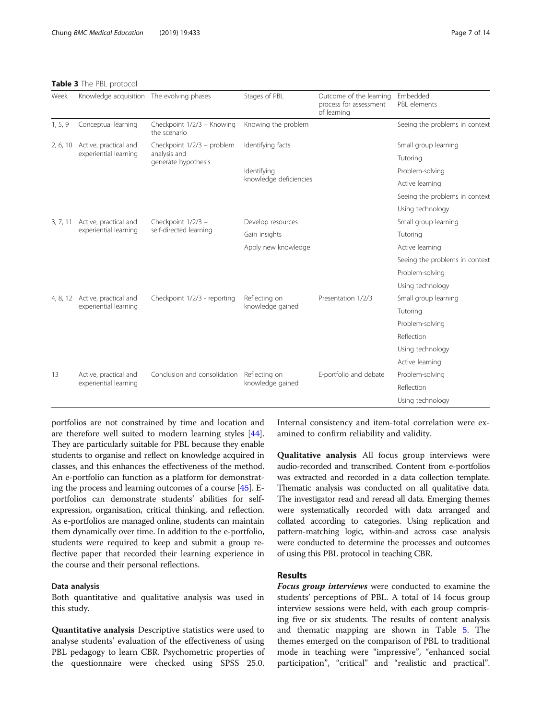<span id="page-6-0"></span>

| Week     | Knowledge acquisition The evolving phases |                                            | Stages of PBL          | Outcome of the learning<br>process for assessment<br>of learning | Embedded<br>PBL elements       |
|----------|-------------------------------------------|--------------------------------------------|------------------------|------------------------------------------------------------------|--------------------------------|
| 1, 5, 9  | Conceptual learning                       | Checkpoint 1/2/3 - Knowing<br>the scenario | Knowing the problem    |                                                                  | Seeing the problems in context |
| 2, 6, 10 | Active, practical and                     | Checkpoint 1/2/3 - problem                 | Identifying facts      |                                                                  | Small group learning           |
|          | experiential learning                     | analysis and<br>generate hypothesis        |                        |                                                                  | Tutoring                       |
|          |                                           |                                            | Identifying            |                                                                  | Problem-solving                |
|          |                                           |                                            | knowledge deficiencies |                                                                  | Active learning                |
|          |                                           |                                            |                        |                                                                  | Seeing the problems in context |
|          |                                           |                                            |                        |                                                                  | Using technology               |
| 3, 7, 11 | Active, practical and                     | Checkpoint 1/2/3 -                         | Develop resources      |                                                                  | Small group learning           |
|          | experiential learning                     | self-directed learning                     | Gain insights          |                                                                  | Tutoring                       |
|          |                                           |                                            | Apply new knowledge    |                                                                  | Active learning                |
|          |                                           |                                            |                        |                                                                  | Seeing the problems in context |
|          |                                           |                                            |                        |                                                                  | Problem-solving                |
|          |                                           |                                            |                        |                                                                  | Using technology               |
| 4, 8, 12 | Active, practical and                     | Checkpoint 1/2/3 - reporting               | Reflecting on          | Presentation 1/2/3                                               | Small group learning           |
|          | experiential learning                     |                                            | knowledge gained       |                                                                  | Tutoring                       |
|          |                                           |                                            |                        |                                                                  | Problem-solving                |
|          |                                           |                                            |                        |                                                                  | Reflection                     |
|          |                                           |                                            |                        |                                                                  | Using technology               |
|          |                                           |                                            |                        |                                                                  | Active learning                |
| 13       | Active, practical and                     | Conclusion and consolidation               | Reflecting on          | E-portfolio and debate                                           | Problem-solving                |
|          | experiential learning                     |                                            | knowledge gained       |                                                                  | Reflection                     |
|          |                                           |                                            |                        |                                                                  | Using technology               |

portfolios are not constrained by time and location and are therefore well suited to modern learning styles [[44](#page-13-0)]. They are particularly suitable for PBL because they enable students to organise and reflect on knowledge acquired in classes, and this enhances the effectiveness of the method. An e-portfolio can function as a platform for demonstrating the process and learning outcomes of a course [\[45\]](#page-13-0). Eportfolios can demonstrate students' abilities for selfexpression, organisation, critical thinking, and reflection. As e-portfolios are managed online, students can maintain them dynamically over time. In addition to the e-portfolio, students were required to keep and submit a group reflective paper that recorded their learning experience in the course and their personal reflections.

## Data analysis

Both quantitative and qualitative analysis was used in this study.

Quantitative analysis Descriptive statistics were used to analyse students' evaluation of the effectiveness of using PBL pedagogy to learn CBR. Psychometric properties of the questionnaire were checked using SPSS 25.0.

Internal consistency and item-total correlation were examined to confirm reliability and validity.

Qualitative analysis All focus group interviews were audio-recorded and transcribed. Content from e-portfolios was extracted and recorded in a data collection template. Thematic analysis was conducted on all qualitative data. The investigator read and reread all data. Emerging themes were systematically recorded with data arranged and collated according to categories. Using replication and pattern-matching logic, within-and across case analysis were conducted to determine the processes and outcomes of using this PBL protocol in teaching CBR.

## Results

**Focus group interviews** were conducted to examine the students' perceptions of PBL. A total of 14 focus group interview sessions were held, with each group comprising five or six students. The results of content analysis and thematic mapping are shown in Table [5](#page-8-0). The themes emerged on the comparison of PBL to traditional mode in teaching were "impressive", "enhanced social participation", "critical" and "realistic and practical".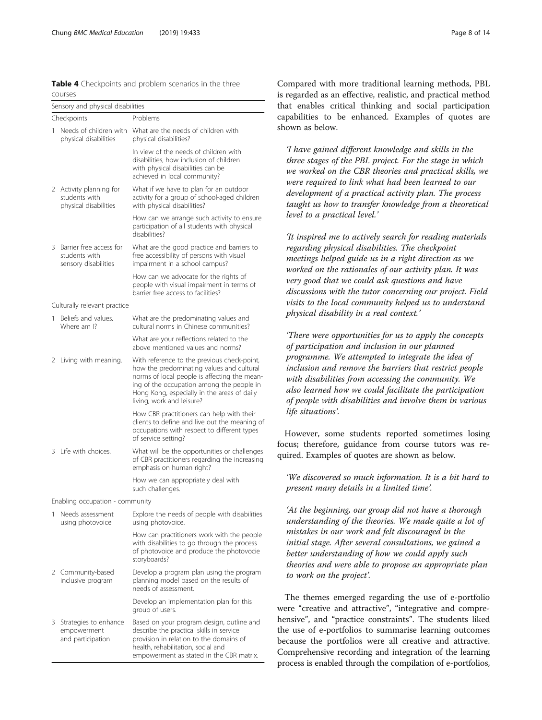<span id="page-7-0"></span>Table 4 Checkpoints and problem scenarios in the three courses

|    | Sensory and physical disabilities                                |                                                                                                                                                                                                                                                                   |  |  |  |  |  |  |
|----|------------------------------------------------------------------|-------------------------------------------------------------------------------------------------------------------------------------------------------------------------------------------------------------------------------------------------------------------|--|--|--|--|--|--|
|    | Checkpoints                                                      | Problems                                                                                                                                                                                                                                                          |  |  |  |  |  |  |
| 1  | Needs of children with<br>physical disabilities                  | What are the needs of children with<br>physical disabilities?                                                                                                                                                                                                     |  |  |  |  |  |  |
|    |                                                                  | In view of the needs of children with<br>disabilities, how inclusion of children<br>with physical disabilities can be<br>achieved in local community?                                                                                                             |  |  |  |  |  |  |
| 2  | Activity planning for<br>students with<br>physical disabilities  | What if we have to plan for an outdoor<br>activity for a group of school-aged children<br>with physical disabilities?                                                                                                                                             |  |  |  |  |  |  |
|    |                                                                  | How can we arrange such activity to ensure<br>participation of all students with physical<br>disabilities?                                                                                                                                                        |  |  |  |  |  |  |
| 3. | Barrier free access for<br>students with<br>sensory disabilities | What are the good practice and barriers to<br>free accessibility of persons with visual<br>impairment in a school campus?                                                                                                                                         |  |  |  |  |  |  |
|    |                                                                  | How can we advocate for the rights of<br>people with visual impairment in terms of<br>barrier free access to facilities?                                                                                                                                          |  |  |  |  |  |  |
|    | Culturally relevant practice                                     |                                                                                                                                                                                                                                                                   |  |  |  |  |  |  |
| 1. | Beliefs and values.<br>Where am I?                               | What are the predominating values and<br>cultural norms in Chinese communities?                                                                                                                                                                                   |  |  |  |  |  |  |
|    |                                                                  | What are your reflections related to the<br>above mentioned values and norms?                                                                                                                                                                                     |  |  |  |  |  |  |
| 2  | Living with meaning.                                             | With reference to the previous check-point,<br>how the predominating values and cultural<br>norms of local people is affecting the mean-<br>ing of the occupation among the people in<br>Hong Kong, especially in the areas of daily<br>living, work and leisure? |  |  |  |  |  |  |
|    |                                                                  | How CBR practitioners can help with their<br>clients to define and live out the meaning of<br>occupations with respect to different types<br>of service setting?                                                                                                  |  |  |  |  |  |  |
| 3  | Life with choices.                                               | What will be the opportunities or challenges<br>of CBR practitioners regarding the increasing<br>emphasis on human right?                                                                                                                                         |  |  |  |  |  |  |
|    |                                                                  | How we can appropriately deal with<br>such challenges.                                                                                                                                                                                                            |  |  |  |  |  |  |
|    | Enabling occupation - community                                  |                                                                                                                                                                                                                                                                   |  |  |  |  |  |  |
| 1  | Needs assessment<br>using photovoice                             | Explore the needs of people with disabilities<br>using photovoice.                                                                                                                                                                                                |  |  |  |  |  |  |
|    |                                                                  | How can practitioners work with the people<br>with disabilities to go through the process<br>of photovoice and produce the photovocie<br>storyboards?                                                                                                             |  |  |  |  |  |  |
| 2  | Community-based<br>inclusive program                             | Develop a program plan using the program<br>planning model based on the results of<br>needs of assessment.                                                                                                                                                        |  |  |  |  |  |  |
|    |                                                                  | Develop an implementation plan for this<br>group of users.                                                                                                                                                                                                        |  |  |  |  |  |  |
| 3  | Strategies to enhance<br>empowerment<br>and participation        | Based on your program design, outline and<br>describe the practical skills in service<br>provision in relation to the domains of<br>health, rehabilitation, social and<br>empowerment as stated in the CBR matrix.                                                |  |  |  |  |  |  |

Compared with more traditional learning methods, PBL is regarded as an effective, realistic, and practical method that enables critical thinking and social participation capabilities to be enhanced. Examples of quotes are shown as below.

'I have gained different knowledge and skills in the three stages of the PBL project. For the stage in which we worked on the CBR theories and practical skills, we were required to link what had been learned to our development of a practical activity plan. The process taught us how to transfer knowledge from a theoretical level to a practical level.'

'It inspired me to actively search for reading materials regarding physical disabilities. The checkpoint meetings helped guide us in a right direction as we worked on the rationales of our activity plan. It was very good that we could ask questions and have discussions with the tutor concerning our project. Field visits to the local community helped us to understand physical disability in a real context.'

'There were opportunities for us to apply the concepts of participation and inclusion in our planned programme. We attempted to integrate the idea of inclusion and remove the barriers that restrict people with disabilities from accessing the community. We also learned how we could facilitate the participation of people with disabilities and involve them in various life situations'.

However, some students reported sometimes losing focus; therefore, guidance from course tutors was required. Examples of quotes are shown as below.

'We discovered so much information. It is a bit hard to present many details in a limited time'.

'At the beginning, our group did not have a thorough understanding of the theories. We made quite a lot of mistakes in our work and felt discouraged in the initial stage. After several consultations, we gained a better understanding of how we could apply such theories and were able to propose an appropriate plan to work on the project'.

The themes emerged regarding the use of e-portfolio were "creative and attractive", "integrative and comprehensive", and "practice constraints". The students liked the use of e-portfolios to summarise learning outcomes because the portfolios were all creative and attractive. Comprehensive recording and integration of the learning process is enabled through the compilation of e-portfolios,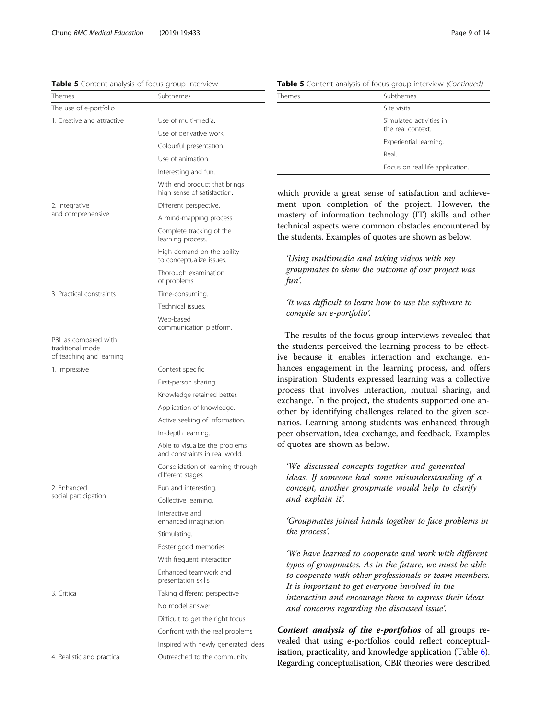## <span id="page-8-0"></span>Table 5 Content analysis of focus group interview

| Themes                                                               | Subthemes                                                        |
|----------------------------------------------------------------------|------------------------------------------------------------------|
| The use of e-portfolio                                               |                                                                  |
| 1. Creative and attractive                                           | Use of multi-media.                                              |
|                                                                      | Use of derivative work.                                          |
|                                                                      | Colourful presentation.                                          |
|                                                                      | Use of animation.                                                |
|                                                                      | Interesting and fun.                                             |
|                                                                      | With end product that brings<br>high sense of satisfaction.      |
| 2. Integrative                                                       | Different perspective.                                           |
| and comprehensive                                                    | A mind-mapping process.                                          |
|                                                                      | Complete tracking of the<br>learning process.                    |
|                                                                      | High demand on the ability<br>to conceptualize issues.           |
|                                                                      | Thorough examination<br>of problems.                             |
| 3. Practical constraints                                             | Time-consuming.                                                  |
|                                                                      | Technical issues.                                                |
|                                                                      | Web-based<br>communication platform.                             |
| PBL as compared with<br>traditional mode<br>of teaching and learning |                                                                  |
| 1. Impressive                                                        | Context specific                                                 |
|                                                                      | First-person sharing.                                            |
|                                                                      | Knowledge retained better.                                       |
|                                                                      | Application of knowledge.                                        |
|                                                                      | Active seeking of information.                                   |
|                                                                      | In-depth learning.                                               |
|                                                                      | Able to visualize the problems<br>and constraints in real world. |
|                                                                      | Consolidation of learning through<br>different stages            |
| 2. Enhanced                                                          | Fun and interesting.                                             |
| social participation                                                 | Collective learning.                                             |
|                                                                      | Interactive and<br>enhanced imagination                          |
|                                                                      | Stimulating.                                                     |
|                                                                      | Foster good memories.                                            |
|                                                                      | With frequent interaction                                        |
|                                                                      | Enhanced teamwork and<br>presentation skills                     |
| 3. Critical                                                          | Taking different perspective                                     |
|                                                                      | No model answer                                                  |
|                                                                      | Difficult to get the right focus                                 |
|                                                                      | Confront with the real problems                                  |
|                                                                      | Inspired with newly generated ideas                              |
| 4. Realistic and practical                                           | Outreached to the community.                                     |

|  |  |  | Table 5 Content analysis of focus group interview (Continued) |
|--|--|--|---------------------------------------------------------------|
|  |  |  |                                                               |

| Themes | Subthemes                                    |  |  |  |
|--------|----------------------------------------------|--|--|--|
|        | Site visits.                                 |  |  |  |
|        | Simulated activities in<br>the real context. |  |  |  |
|        | Experiential learning.                       |  |  |  |
|        | Real.                                        |  |  |  |
|        | Focus on real life application.              |  |  |  |

which provide a great sense of satisfaction and achievement upon completion of the project. However, the mastery of information technology (IT) skills and other technical aspects were common obstacles encountered by the students. Examples of quotes are shown as below.

'Using multimedia and taking videos with my groupmates to show the outcome of our project was fun'.

'It was difficult to learn how to use the software to compile an e-portfolio'.

The results of the focus group interviews revealed that the students perceived the learning process to be effective because it enables interaction and exchange, enhances engagement in the learning process, and offers inspiration. Students expressed learning was a collective process that involves interaction, mutual sharing, and exchange. In the project, the students supported one another by identifying challenges related to the given scenarios. Learning among students was enhanced through peer observation, idea exchange, and feedback. Examples of quotes are shown as below.

'We discussed concepts together and generated ideas. If someone had some misunderstanding of a concept, another groupmate would help to clarify and explain it'.

'Groupmates joined hands together to face problems in the process'.

'We have learned to cooperate and work with different types of groupmates. As in the future, we must be able to cooperate with other professionals or team members. It is important to get everyone involved in the interaction and encourage them to express their ideas and concerns regarding the discussed issue'.

Content analysis of the e-portfolios of all groups revealed that using e-portfolios could reflect conceptualisation, practicality, and knowledge application (Table [6](#page-9-0)). Regarding conceptualisation, CBR theories were described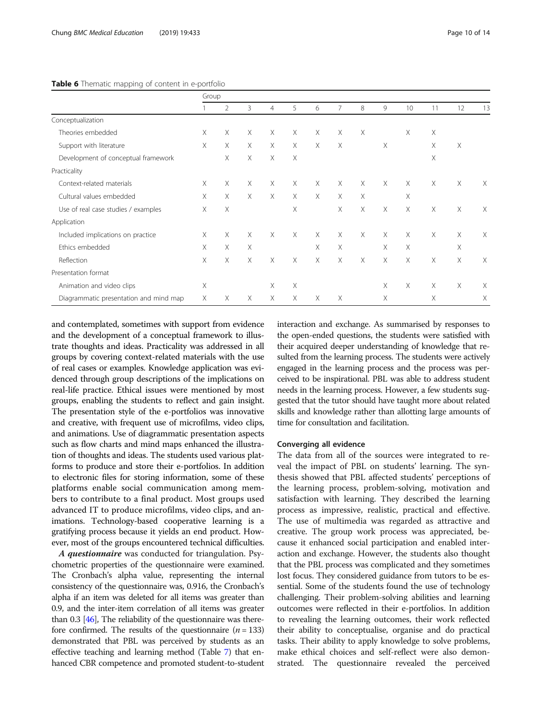#### <span id="page-9-0"></span>Table 6 Thematic mapping of content in e-portfolio

|                                        | Group |                |          |                |          |          |                |          |          |          |          |          |                           |
|----------------------------------------|-------|----------------|----------|----------------|----------|----------|----------------|----------|----------|----------|----------|----------|---------------------------|
|                                        |       | $\overline{2}$ | 3        | $\overline{4}$ | 5        | 6        | $\overline{7}$ | 8        | 9        | 10       | 11       | 12       | 13                        |
| Conceptualization                      |       |                |          |                |          |          |                |          |          |          |          |          |                           |
| Theories embedded                      | X     | $\times$       | $\times$ | $\times$       | $\times$ | $\times$ | $\times$       | X        |          | $\times$ | $\times$ |          |                           |
| Support with literature                | X     | $\times$       | $\times$ | $\times$       | $\times$ | $\times$ | $\times$       |          | $\times$ |          | $\times$ | $\times$ |                           |
| Development of conceptual framework    |       | $\times$       | X        | $\times$       | X        |          |                |          |          |          | $\times$ |          |                           |
| Practicality                           |       |                |          |                |          |          |                |          |          |          |          |          |                           |
| Context-related materials              | Χ     | X              | X        | X              | X        | X        | $\times$       | X        | $\times$ | $\times$ | X        | $\times$ | Χ                         |
| Cultural values embedded               | X     | X              | X        | $\times$       | $\times$ | $\times$ | $\times$       | X        |          | X        |          |          |                           |
| Use of real case studies / examples    | Χ     | Χ              |          |                | X        |          | $\times$       | $\times$ | $\times$ | $\times$ | $\times$ | $\times$ | Χ                         |
| Application                            |       |                |          |                |          |          |                |          |          |          |          |          |                           |
| Included implications on practice      | X     | X              | X        | $\times$       | $\times$ | $\times$ | $\times$       | X        | X        | $\times$ | $\times$ | $\times$ | Χ                         |
| Ethics embedded                        | X     | $\times$       | $\times$ |                |          | $\times$ | $\times$       |          | $\times$ | $\times$ |          | X        |                           |
| Reflection                             | X     | X              | X        | $\times$       | X        | X        | X              | X        | $\times$ | $\times$ | $\times$ | $\times$ | $\boldsymbol{\mathsf{X}}$ |
| Presentation format                    |       |                |          |                |          |          |                |          |          |          |          |          |                           |
| Animation and video clips              | Χ     |                |          | X              | Χ        |          |                |          | $\times$ | X        | $\times$ | $\times$ | Χ                         |
| Diagrammatic presentation and mind map | Χ     | X              | X        | $\times$       | X        | X        | X              |          | X        |          | X        |          | Χ                         |

and contemplated, sometimes with support from evidence and the development of a conceptual framework to illustrate thoughts and ideas. Practicality was addressed in all groups by covering context-related materials with the use of real cases or examples. Knowledge application was evidenced through group descriptions of the implications on real-life practice. Ethical issues were mentioned by most groups, enabling the students to reflect and gain insight. The presentation style of the e-portfolios was innovative and creative, with frequent use of microfilms, video clips, and animations. Use of diagrammatic presentation aspects such as flow charts and mind maps enhanced the illustration of thoughts and ideas. The students used various platforms to produce and store their e-portfolios. In addition to electronic files for storing information, some of these platforms enable social communication among members to contribute to a final product. Most groups used advanced IT to produce microfilms, video clips, and animations. Technology-based cooperative learning is a gratifying process because it yields an end product. However, most of the groups encountered technical difficulties.

A questionnaire was conducted for triangulation. Psychometric properties of the questionnaire were examined. The Cronbach's alpha value, representing the internal consistency of the questionnaire was, 0.916, the Cronbach's alpha if an item was deleted for all items was greater than 0.9, and the inter-item correlation of all items was greater than 0.3 [\[46\]](#page-13-0), The reliability of the questionnaire was therefore confirmed. The results of the questionnaire  $(n = 133)$ demonstrated that PBL was perceived by students as an effective teaching and learning method (Table [7](#page-10-0)) that enhanced CBR competence and promoted student-to-student interaction and exchange. As summarised by responses to the open-ended questions, the students were satisfied with their acquired deeper understanding of knowledge that resulted from the learning process. The students were actively engaged in the learning process and the process was perceived to be inspirational. PBL was able to address student needs in the learning process. However, a few students suggested that the tutor should have taught more about related skills and knowledge rather than allotting large amounts of time for consultation and facilitation.

#### Converging all evidence

The data from all of the sources were integrated to reveal the impact of PBL on students' learning. The synthesis showed that PBL affected students' perceptions of the learning process, problem-solving, motivation and satisfaction with learning. They described the learning process as impressive, realistic, practical and effective. The use of multimedia was regarded as attractive and creative. The group work process was appreciated, because it enhanced social participation and enabled interaction and exchange. However, the students also thought that the PBL process was complicated and they sometimes lost focus. They considered guidance from tutors to be essential. Some of the students found the use of technology challenging. Their problem-solving abilities and learning outcomes were reflected in their e-portfolios. In addition to revealing the learning outcomes, their work reflected their ability to conceptualise, organise and do practical tasks. Their ability to apply knowledge to solve problems, make ethical choices and self-reflect were also demonstrated. The questionnaire revealed the perceived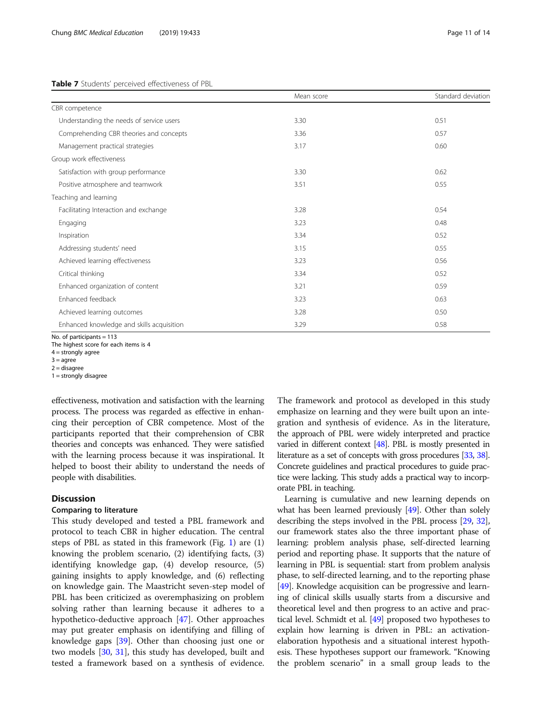#### <span id="page-10-0"></span>Table 7 Students' perceived effectiveness of PBL

|                                           | Mean score | Standard deviation |
|-------------------------------------------|------------|--------------------|
| CBR competence                            |            |                    |
| Understanding the needs of service users  | 3.30       | 0.51               |
| Comprehending CBR theories and concepts   | 3.36       | 0.57               |
| Management practical strategies           | 3.17       | 0.60               |
| Group work effectiveness                  |            |                    |
| Satisfaction with group performance       | 3.30       | 0.62               |
| Positive atmosphere and teamwork          | 3.51       | 0.55               |
| Teaching and learning                     |            |                    |
| Facilitating Interaction and exchange     | 3.28       | 0.54               |
| Engaging                                  | 3.23       | 0.48               |
| Inspiration                               | 3.34       | 0.52               |
| Addressing students' need                 | 3.15       | 0.55               |
| Achieved learning effectiveness           | 3.23       | 0.56               |
| Critical thinking                         | 3.34       | 0.52               |
| Enhanced organization of content          | 3.21       | 0.59               |
| Enhanced feedback                         | 3.23       | 0.63               |
| Achieved learning outcomes                | 3.28       | 0.50               |
| Enhanced knowledge and skills acquisition | 3.29       | 0.58               |

No. of participants = 113

The highest score for each items is 4

 $4 =$  strongly agree

 $3 = a$ gree  $2$  = disagree

 $1 =$  strongly disagree

effectiveness, motivation and satisfaction with the learning process. The process was regarded as effective in enhancing their perception of CBR competence. Most of the participants reported that their comprehension of CBR theories and concepts was enhanced. They were satisfied with the learning process because it was inspirational. It helped to boost their ability to understand the needs of people with disabilities.

## **Discussion**

## Comparing to literature

This study developed and tested a PBL framework and protocol to teach CBR in higher education. The central steps of PBL as stated in this framework (Fig. [1](#page-4-0)) are (1) knowing the problem scenario, (2) identifying facts, (3) identifying knowledge gap, (4) develop resource, (5) gaining insights to apply knowledge, and (6) reflecting on knowledge gain. The Maastricht seven-step model of PBL has been criticized as overemphasizing on problem solving rather than learning because it adheres to a hypothetico-deductive approach [[47\]](#page-13-0). Other approaches may put greater emphasis on identifying and filling of knowledge gaps [[39](#page-13-0)]. Other than choosing just one or two models [\[30](#page-13-0), [31\]](#page-13-0), this study has developed, built and tested a framework based on a synthesis of evidence.

The framework and protocol as developed in this study emphasize on learning and they were built upon an integration and synthesis of evidence. As in the literature, the approach of PBL were widely interpreted and practice varied in different context [\[48](#page-13-0)]. PBL is mostly presented in literature as a set of concepts with gross procedures [\[33,](#page-13-0) [38](#page-13-0)]. Concrete guidelines and practical procedures to guide practice were lacking. This study adds a practical way to incorporate PBL in teaching.

Learning is cumulative and new learning depends on what has been learned previously [\[49](#page-13-0)]. Other than solely describing the steps involved in the PBL process [[29](#page-13-0), [32](#page-13-0)], our framework states also the three important phase of learning: problem analysis phase, self-directed learning period and reporting phase. It supports that the nature of learning in PBL is sequential: start from problem analysis phase, to self-directed learning, and to the reporting phase [[49](#page-13-0)]. Knowledge acquisition can be progressive and learning of clinical skills usually starts from a discursive and theoretical level and then progress to an active and practical level. Schmidt et al. [\[49](#page-13-0)] proposed two hypotheses to explain how learning is driven in PBL: an activationelaboration hypothesis and a situational interest hypothesis. These hypotheses support our framework. "Knowing the problem scenario" in a small group leads to the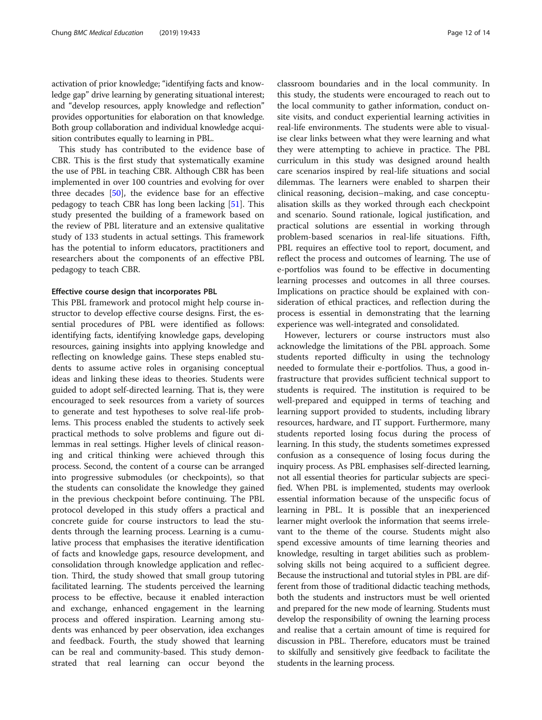activation of prior knowledge; "identifying facts and knowledge gap" drive learning by generating situational interest; and "develop resources, apply knowledge and reflection" provides opportunities for elaboration on that knowledge. Both group collaboration and individual knowledge acquisition contributes equally to learning in PBL.

This study has contributed to the evidence base of CBR. This is the first study that systematically examine the use of PBL in teaching CBR. Although CBR has been implemented in over 100 countries and evolving for over three decades [\[50\]](#page-13-0), the evidence base for an effective pedagogy to teach CBR has long been lacking [[51\]](#page-13-0). This study presented the building of a framework based on the review of PBL literature and an extensive qualitative study of 133 students in actual settings. This framework has the potential to inform educators, practitioners and researchers about the components of an effective PBL pedagogy to teach CBR.

#### Effective course design that incorporates PBL

This PBL framework and protocol might help course instructor to develop effective course designs. First, the essential procedures of PBL were identified as follows: identifying facts, identifying knowledge gaps, developing resources, gaining insights into applying knowledge and reflecting on knowledge gains. These steps enabled students to assume active roles in organising conceptual ideas and linking these ideas to theories. Students were guided to adopt self-directed learning. That is, they were encouraged to seek resources from a variety of sources to generate and test hypotheses to solve real-life problems. This process enabled the students to actively seek practical methods to solve problems and figure out dilemmas in real settings. Higher levels of clinical reasoning and critical thinking were achieved through this process. Second, the content of a course can be arranged into progressive submodules (or checkpoints), so that the students can consolidate the knowledge they gained in the previous checkpoint before continuing. The PBL protocol developed in this study offers a practical and concrete guide for course instructors to lead the students through the learning process. Learning is a cumulative process that emphasises the iterative identification of facts and knowledge gaps, resource development, and consolidation through knowledge application and reflection. Third, the study showed that small group tutoring facilitated learning. The students perceived the learning process to be effective, because it enabled interaction and exchange, enhanced engagement in the learning process and offered inspiration. Learning among students was enhanced by peer observation, idea exchanges and feedback. Fourth, the study showed that learning can be real and community-based. This study demonstrated that real learning can occur beyond the

classroom boundaries and in the local community. In this study, the students were encouraged to reach out to the local community to gather information, conduct onsite visits, and conduct experiential learning activities in real-life environments. The students were able to visualise clear links between what they were learning and what they were attempting to achieve in practice. The PBL curriculum in this study was designed around health care scenarios inspired by real-life situations and social dilemmas. The learners were enabled to sharpen their clinical reasoning, decision–making, and case conceptualisation skills as they worked through each checkpoint and scenario. Sound rationale, logical justification, and practical solutions are essential in working through problem-based scenarios in real-life situations. Fifth, PBL requires an effective tool to report, document, and reflect the process and outcomes of learning. The use of e-portfolios was found to be effective in documenting learning processes and outcomes in all three courses. Implications on practice should be explained with consideration of ethical practices, and reflection during the process is essential in demonstrating that the learning experience was well-integrated and consolidated.

However, lecturers or course instructors must also acknowledge the limitations of the PBL approach. Some students reported difficulty in using the technology needed to formulate their e-portfolios. Thus, a good infrastructure that provides sufficient technical support to students is required. The institution is required to be well-prepared and equipped in terms of teaching and learning support provided to students, including library resources, hardware, and IT support. Furthermore, many students reported losing focus during the process of learning. In this study, the students sometimes expressed confusion as a consequence of losing focus during the inquiry process. As PBL emphasises self-directed learning, not all essential theories for particular subjects are specified. When PBL is implemented, students may overlook essential information because of the unspecific focus of learning in PBL. It is possible that an inexperienced learner might overlook the information that seems irrelevant to the theme of the course. Students might also spend excessive amounts of time learning theories and knowledge, resulting in target abilities such as problemsolving skills not being acquired to a sufficient degree. Because the instructional and tutorial styles in PBL are different from those of traditional didactic teaching methods, both the students and instructors must be well oriented and prepared for the new mode of learning. Students must develop the responsibility of owning the learning process and realise that a certain amount of time is required for discussion in PBL. Therefore, educators must be trained to skilfully and sensitively give feedback to facilitate the students in the learning process.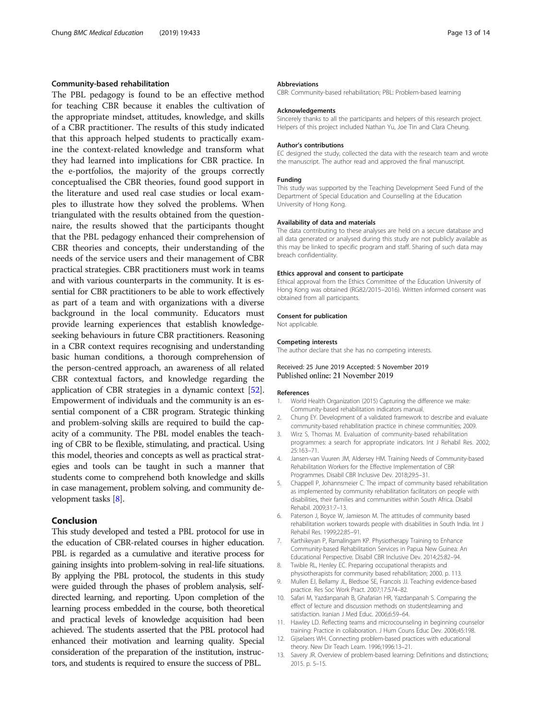## <span id="page-12-0"></span>Community-based rehabilitation

The PBL pedagogy is found to be an effective method for teaching CBR because it enables the cultivation of the appropriate mindset, attitudes, knowledge, and skills of a CBR practitioner. The results of this study indicated that this approach helped students to practically examine the context-related knowledge and transform what they had learned into implications for CBR practice. In the e-portfolios, the majority of the groups correctly conceptualised the CBR theories, found good support in the literature and used real case studies or local examples to illustrate how they solved the problems. When triangulated with the results obtained from the questionnaire, the results showed that the participants thought that the PBL pedagogy enhanced their comprehension of CBR theories and concepts, their understanding of the needs of the service users and their management of CBR practical strategies. CBR practitioners must work in teams and with various counterparts in the community. It is essential for CBR practitioners to be able to work effectively as part of a team and with organizations with a diverse background in the local community. Educators must provide learning experiences that establish knowledgeseeking behaviours in future CBR practitioners. Reasoning in a CBR context requires recognising and understanding basic human conditions, a thorough comprehension of the person-centred approach, an awareness of all related CBR contextual factors, and knowledge regarding the application of CBR strategies in a dynamic context [[52](#page-13-0)]. Empowerment of individuals and the community is an essential component of a CBR program. Strategic thinking and problem-solving skills are required to build the capacity of a community. The PBL model enables the teaching of CBR to be flexible, stimulating, and practical. Using this model, theories and concepts as well as practical strategies and tools can be taught in such a manner that students come to comprehend both knowledge and skills in case management, problem solving, and community development tasks [8].

## Conclusion

This study developed and tested a PBL protocol for use in the education of CBR-related courses in higher education. PBL is regarded as a cumulative and iterative process for gaining insights into problem-solving in real-life situations. By applying the PBL protocol, the students in this study were guided through the phases of problem analysis, selfdirected learning, and reporting. Upon completion of the learning process embedded in the course, both theoretical and practical levels of knowledge acquisition had been achieved. The students asserted that the PBL protocol had enhanced their motivation and learning quality. Special consideration of the preparation of the institution, instructors, and students is required to ensure the success of PBL.

#### Abbreviations

CBR: Community-based rehabilitation; PBL: Problem-based learning

#### Acknowledgements

Sincerely thanks to all the participants and helpers of this research project. Helpers of this project included Nathan Yu, Joe Tin and Clara Cheung.

#### Author's contributions

EC designed the study, collected the data with the research team and wrote the manuscript. The author read and approved the final manuscript.

#### Funding

This study was supported by the Teaching Development Seed Fund of the Department of Special Education and Counselling at the Education University of Hong Kong.

#### Availability of data and materials

The data contributing to these analyses are held on a secure database and all data generated or analysed during this study are not publicly available as this may be linked to specific program and staff. Sharing of such data may breach confidentiality.

#### Ethics approval and consent to participate

Ethical approval from the Ethics Committee of the Education University of Hong Kong was obtained (RG82/2015–2016). Written informed consent was obtained from all participants.

#### Consent for publication

Not applicable.

#### Competing interests

The author declare that she has no competing interests.

## Received: 25 June 2019 Accepted: 5 November 2019 Published online: 21 November 2019

#### References

- 1. World Health Organization (2015) Capturing the difference we make: Community-based rehabilitation indicators manual.
- 2. Chung EY. Development of a validated framework to describe and evaluate community-based rehabilitation practice in chinese communities; 2009.
- 3. Wirz S, Thomas M. Evaluation of community-based rehabilitation programmes: a search for appropriate indicators. Int J Rehabil Res. 2002; 25:163–71.
- 4. Jansen-van Vuuren JM, Aldersey HM. Training Needs of Community-based Rehabilitation Workers for the Effective Implementation of CBR Programmes. Disabil CBR Inclusive Dev. 2018;29:5–31.
- 5. Chappell P, Johannsmeier C. The impact of community based rehabilitation as implemented by community rehabilitation facilitators on people with disabilities, their families and communities within South Africa. Disabil Rehabil. 2009;31:7–13.
- 6. Paterson J, Boyce W, Jamieson M. The attitudes of community based rehabilitation workers towards people with disabilities in South India. Int J Rehabil Res. 1999;22:85–91.
- 7. Karthikeyan P, Ramalingam KP. Physiotherapy Training to Enhance Community-based Rehabilitation Services in Papua New Guinea: An Educational Perspective. Disabil CBR Inclusive Dev. 2014;25:82–94.
- 8. Twible RL, Henley EC. Preparing occupational therapists and physiotherapists for community based rehabilitation; 2000. p. 113.
- 9. Mullen EJ, Bellamy JL, Bledsoe SE, Francois JJ. Teaching evidence-based practice. Res Soc Work Pract. 2007;17:574–82.
- 10. Safari M, Yazdanpanah B, Ghafarian HR, Yazdanpanah S. Comparing the effect of lecture and discussion methods on studentslearning and satisfaction. Iranian J Med Educ. 2006;6:59–64.
- 11. Hawley LD. Reflecting teams and microcounseling in beginning counselor training: Practice in collaboration. J Hum Couns Educ Dev. 2006;45:198.
- 12. Gijselaers WH. Connecting problem-based practices with educational theory. New Dir Teach Learn. 1996;1996:13–21.
- 13. Savery JR. Overview of problem-based learning: Definitions and distinctions; 2015. p. 5–15.